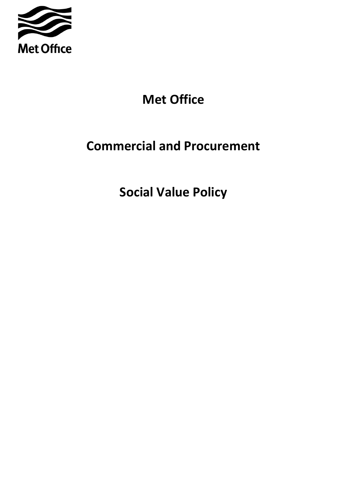

# **Met Office**

## **Commercial and Procurement**

**Social Value Policy**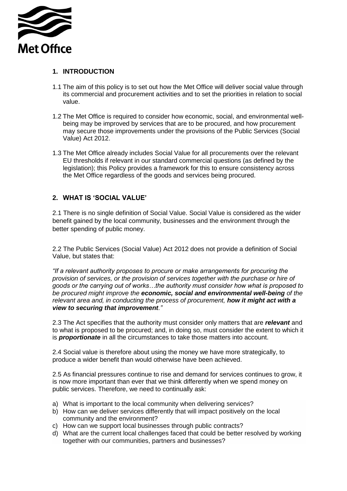

#### **1. INTRODUCTION**

- 1.1 The aim of this policy is to set out how the Met Office will deliver social value through its commercial and procurement activities and to set the priorities in relation to social value.
- 1.2 The Met Office is required to consider how economic, social, and environmental wellbeing may be improved by services that are to be procured, and how procurement may secure those improvements under the provisions of the Public Services (Social Value) Act 2012.
- 1.3 The Met Office already includes Social Value for all procurements over the relevant EU thresholds if relevant in our standard commercial questions (as defined by the legislation); this Policy provides a framework for this to ensure consistency across the Met Office regardless of the goods and services being procured.

#### **2. WHAT IS 'SOCIAL VALUE'**

2.1 There is no single definition of Social Value. Social Value is considered as the wider benefit gained by the local community, businesses and the environment through the better spending of public money.

2.2 The Public Services (Social Value) Act 2012 does not provide a definition of Social Value, but states that:

*"If a relevant authority proposes to procure or make arrangements for procuring the provision of services, or the provision of services together with the purchase or hire of goods or the carrying out of works…the authority must consider how what is proposed to be procured might improve the economic, social and environmental well-being of the relevant area and, in conducting the process of procurement, how it might act with a view to securing that improvement."* 

2.3 The Act specifies that the authority must consider only matters that are *relevant* and to what is proposed to be procured; and, in doing so, must consider the extent to which it is *proportionate* in all the circumstances to take those matters into account.

2.4 Social value is therefore about using the money we have more strategically, to produce a wider benefit than would otherwise have been achieved.

2.5 As financial pressures continue to rise and demand for services continues to grow, it is now more important than ever that we think differently when we spend money on public services. Therefore, we need to continually ask:

- a) What is important to the local community when delivering services?
- b) How can we deliver services differently that will impact positively on the local community and the environment?
- c) How can we support local businesses through public contracts?
- d) What are the current local challenges faced that could be better resolved by working together with our communities, partners and businesses?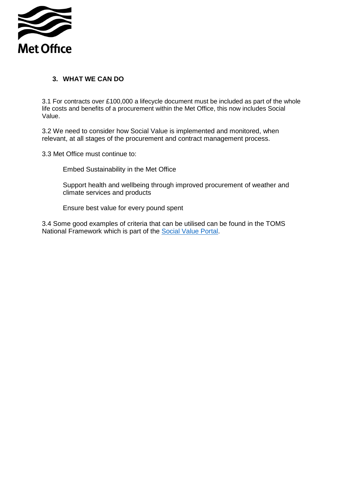

#### **3. WHAT WE CAN DO**

3.1 For contracts over £100,000 a lifecycle document must be included as part of the whole life costs and benefits of a procurement within the Met Office, this now includes Social Value.

3.2 We need to consider how Social Value is implemented and monitored, when relevant, at all stages of the procurement and contract management process.

3.3 Met Office must continue to:

Embed Sustainability in the Met Office

Support health and wellbeing through improved procurement of weather and climate services and products

Ensure best value for every pound spent

3.4 Some good examples of criteria that can be utilised can be found in the TOMS National Framework which is part of the [Social Value Portal.](https://socialvalueportal.com/)